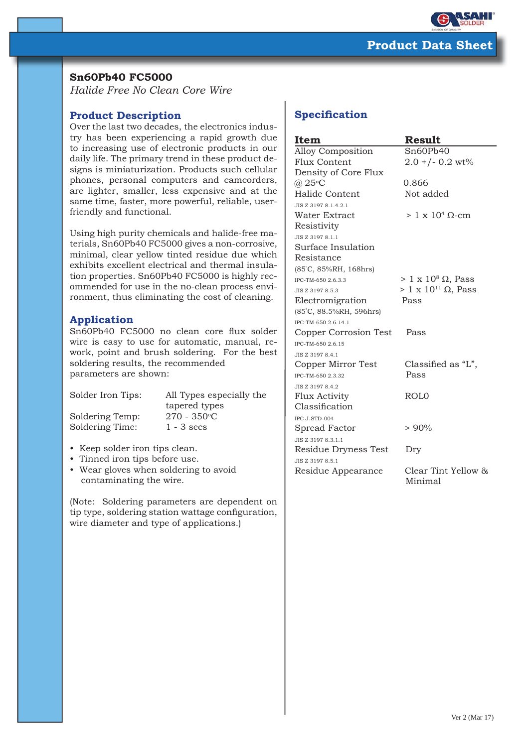

## **Sn60Pb40 FC5000**

*Halide Free No Clean Core Wire*

## **Product Description**

Over the last two decades, the electronics industry has been experiencing a rapid growth due to increasing use of electronic products in our daily life. The primary trend in these product designs is miniaturization. Products such cellular phones, personal computers and camcorders, are lighter, smaller, less expensive and at the same time, faster, more powerful, reliable, userfriendly and functional.

Using high purity chemicals and halide-free materials, Sn60Pb40 FC5000 gives a non-corrosive, minimal, clear yellow tinted residue due which exhibits excellent electrical and thermal insulation properties. Sn60Pb40 FC5000 is highly recommended for use in the no-clean process environment, thus eliminating the cost of cleaning.

## **Application**

Sn60Pb40 FC5000 no clean core flux solder wire is easy to use for automatic, manual, rework, point and brush soldering. For the best soldering results, the recommended parameters are shown:

Soldering Temp:

Solder Iron Tips: All Types especially the tapered types  $270 - 350$ °C Soldering Time: 1 - 3 secs

- Keep solder iron tips clean.
- Tinned iron tips before use.
- Wear gloves when soldering to avoid contaminating the wire.

(Note: Soldering parameters are dependent on tip type, soldering station wattage configuration, wire diameter and type of applications.)

# **Specification**

| Item                     | <b>Result</b>                   |
|--------------------------|---------------------------------|
| <b>Alloy Composition</b> | Sn60Pb40                        |
| <b>Flux Content</b>      | $2.0 + (-0.2 \text{ wt})$       |
| Density of Core Flux     |                                 |
| $(a)$ 25 $\degree$ C     | 0.866                           |
| Halide Content           | Not added                       |
| JIS Z 3197 8.1.4.2.1     |                                 |
| Water Extract            | $> 1 \times 10^4$ Q-cm          |
| Resistivity              |                                 |
| JIS Z 3197 8.1.1         |                                 |
| Surface Insulation       |                                 |
| Resistance               |                                 |
| (85°C, 85%RH, 168hrs)    |                                 |
| IPC-TM-650 2.6.3.3       | $> 1 \times 10^8 \Omega$ , Pass |
| JIS Z 3197 8.5.3         | $> 1 \times 10^{11}$ Ω, Pass    |
| Electromigration         | Pass                            |
| (85°C, 88.5%RH, 596hrs)  |                                 |
| IPC-TM-650 2.6.14.1      |                                 |
| Copper Corrosion Test    | Pass                            |
| IPC-TM-650 2.6.15        |                                 |
| JIS Z 3197 8.4.1         |                                 |
| Copper Mirror Test       | Classified as "L",              |
| IPC-TM-650 2.3.32        | Pass                            |
| JIS Z 3197 8.4.2         |                                 |
| <b>Flux Activity</b>     | ROL <sub>0</sub>                |
| Classification           |                                 |
| IPC J-STD-004            |                                 |
| Spread Factor            | $> 90\%$                        |
| JIS Z 3197 8.3.1.1       |                                 |
| Residue Dryness Test     | Dry                             |
| JIS Z 3197 8.5.1         |                                 |
| Residue Appearance       | Clear Tint Yellow &<br>Minimal  |